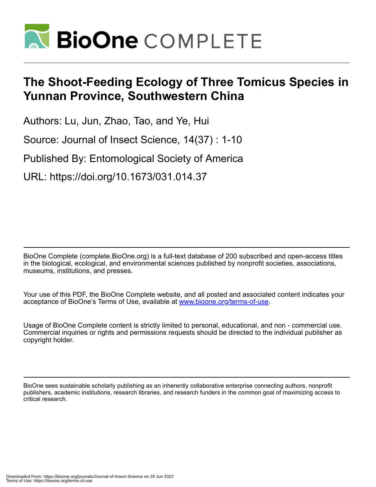

# **The Shoot-Feeding Ecology of Three Tomicus Species in Yunnan Province, Southwestern China**

Authors: Lu, Jun, Zhao, Tao, and Ye, Hui

Source: Journal of Insect Science, 14(37) : 1-10

Published By: Entomological Society of America

URL: https://doi.org/10.1673/031.014.37

BioOne Complete (complete.BioOne.org) is a full-text database of 200 subscribed and open-access titles in the biological, ecological, and environmental sciences published by nonprofit societies, associations, museums, institutions, and presses.

Your use of this PDF, the BioOne Complete website, and all posted and associated content indicates your acceptance of BioOne's Terms of Use, available at www.bioone.org/terms-of-use.

Usage of BioOne Complete content is strictly limited to personal, educational, and non - commercial use. Commercial inquiries or rights and permissions requests should be directed to the individual publisher as copyright holder.

BioOne sees sustainable scholarly publishing as an inherently collaborative enterprise connecting authors, nonprofit publishers, academic institutions, research libraries, and research funders in the common goal of maximizing access to critical research.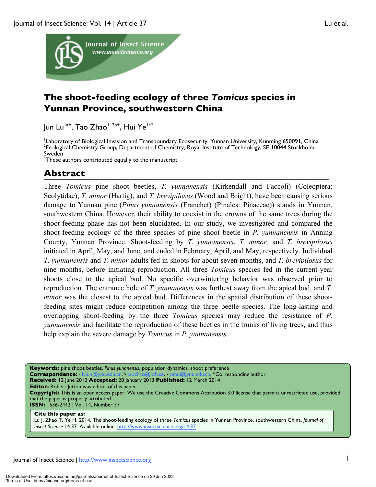

# **The shoot-feeding ecology of three** *Tomicus* **species in Yunnan Province, southwestern China**

Jun Lu<sup>la+</sup>, Tao Zhao<sup>1, 2b+</sup>, Hui Ye<sup>1c\*</sup>

Laboratory of Biological Invasion and Transboundary Ecosecurity, Yunnan University, Kunming 650091, China <sup>2</sup> Ecological Chemistry Group, Department of Chemistry, Royal Institute of Technology, SE-10044 Stockholm, Sweden

+ These authors contributed equally to the manuscript

# **Abstract**

Three *Tomicus* pine shoot beetles, *T. yunnanensis* (Kirkendall and Faccoli) (Coleoptera: Scolytidae), *T. minor* (Hartig), and *T. brevipilosus* (Wood and Bright), have been causing serious damage to Yunnan pine (*Pinus yunnanensis* (Franchet) (Pinales: Pinaceae)) stands in Yunnan, southwestern China. However, their ability to coexist in the crowns of the same trees during the shoot-feeding phase has not been elucidated. In our study, we investigated and compared the shoot-feeding ecology of the three species of pine shoot beetle in *P. yunnanensis* in Anning County, Yunnan Province. Shoot-feeding by *T. yunnanensis*, *T. minor,* and *T. brevipilosus*  initiated in April, May, and June, and ended in February, April, and May, respectively. Individual *T. yunnanensis* and *T. minor* adults fed in shoots for about seven months, and *T. brevipilosus* for nine months, before initiating reproduction. All three *Tomicus* species fed in the current-year shoots close to the apical bud. No specific overwintering behavior was observed prior to reproduction. The entrance hole of *T. yunnanensis* was furthest away from the apical bud, and *T. minor* was the closest to the apical bud. Differences in the spatial distribution of these shootfeeding sites might reduce competition among the three beetle species. The long-lasting and overlapping shoot-feeding by the three *Tomicus* species may reduce the resistance of *P. yunnanensis* and facilitate the reproduction of these beetles in the trunks of living trees, and thus help explain the severe damage by *Tomicus* in *P. yunnanensis*.

**Keywords:** pine shoot beetles*, Pinus yunanensis*, population dynamics, shoot preference **Correspondence:** <sup>a</sup> lvjun@ynu.edu.cn, b taozhao@kth.se, c yehui@ynu.edu.cn, \*Corresponding author

**Received:** 12 June 2012 **Accepted:** 28 January 2013 **Published:** 12 March 2014

**Editor:** Robert Jetton was editor of this paper.

**Copyright:** This is an open access paper. We use the Creative Commons Attribution 3.0 license that permits unrestricted use, provided that the paper is properly attributed.

**ISSN:** 1536-2442 | Vol. 14, Number 37

#### **Cite this paper as:**

Lu J, Zhao T, Ye H. 2014. The shoot-feeding ecology of three *Tomicus* species in Yunnan Province, southwestern China. *Journal of Insect Science* 14:37. Available online: http://www.insectscience.org/14.37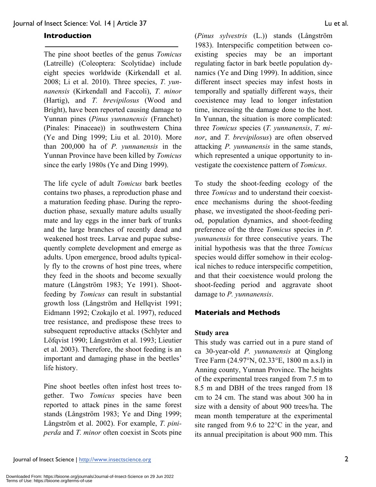# **Introduction**

The pine shoot beetles of the genus *Tomicus* (Latreille) (Coleoptera: Scolytidae) include eight species worldwide (Kirkendall et al. 2008; Li et al. 2010). Three species, *T. yunnanensis* (Kirkendall and Faccoli), *T. minor* (Hartig), and *T. brevipilosus* (Wood and Bright), have been reported causing damage to Yunnan pines (*Pinus yunnanensis* (Franchet) (Pinales: Pinaceae)) in southwestern China (Ye and Ding 1999; Liu et al. 2010). More than 200,000 ha of *P. yunnanensis* in the Yunnan Province have been killed by *Tomicus* since the early 1980s (Ye and Ding 1999).

The life cycle of adult *Tomicus* bark beetles contains two phases, a reproduction phase and a maturation feeding phase. During the reproduction phase, sexually mature adults usually mate and lay eggs in the inner bark of trunks and the large branches of recently dead and weakened host trees. Larvae and pupae subsequently complete development and emerge as adults. Upon emergence, brood adults typically fly to the crowns of host pine trees, where they feed in the shoots and become sexually mature (Långström 1983; Ye 1991). Shootfeeding by *Tomicus* can result in substantial growth loss (Långström and Hellqvist 1991; Eidmann 1992; Czokajlo et al. 1997), reduced tree resistance, and predispose these trees to subsequent reproductive attacks (Schlyter and Löfqvist 1990; Långström et al. 1993; Lieutier et al. 2003). Therefore, the shoot feeding is an important and damaging phase in the beetles' life history.

Pine shoot beetles often infest host trees together. Two *Tomicus* species have been reported to attack pines in the same forest stands (Långström 1983; Ye and Ding 1999; Långström et al. 2002). For example, *T. piniperda* and *T. minor* often coexist in Scots pine (*Pinus sylvestris* (L.)) stands (Långström 1983). Interspecific competition between coexisting species may be an important regulating factor in bark beetle population dynamics (Ye and Ding 1999). In addition, since different insect species may infest hosts in temporally and spatially different ways, their coexistence may lead to longer infestation time, increasing the damage done to the host. In Yunnan, the situation is more complicated: three *Tomicus* species (*T. yunnanensis*, *T. minor*, and *T. brevipilosus*) are often observed attacking *P. yunnanensis* in the same stands, which represented a unique opportunity to investigate the coexistence pattern of *Tomicus*.

To study the shoot-feeding ecology of the three *Tomicus* and to understand their coexistence mechanisms during the shoot-feeding phase, we investigated the shoot-feeding period, population dynamics, and shoot-feeding preference of the three *Tomicus* species in *P. yunnanensis* for three consecutive years. The initial hypothesis was that the three *Tomicus* species would differ somehow in their ecological niches to reduce interspecific competition, and that their coexistence would prolong the shoot-feeding period and aggravate shoot damage to *P. yunnanensis*.

# **Materials and Methods**

#### **Study area**

This study was carried out in a pure stand of ca 30-year-old *P. yunnanensis* at Qinglong Tree Farm (24.97°N, 02.33°E, 1800 m a.s.l) in Anning county, Yunnan Province. The heights of the experimental trees ranged from 7.5 m to 8.5 m and DBH of the trees ranged from 18 cm to 24 cm. The stand was about 300 ha in size with a density of about 900 trees/ha. The mean month temperature at the experimental site ranged from 9.6 to 22°C in the year, and its annual precipitation is about 900 mm. This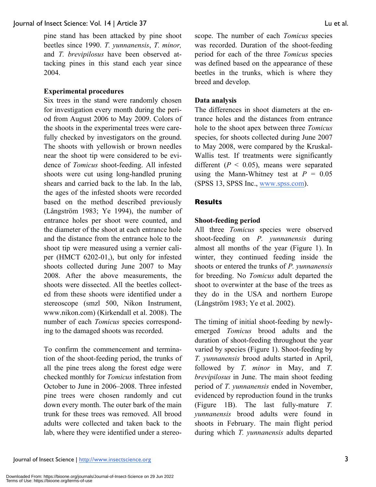pine stand has been attacked by pine shoot beetles since 1990. *T. yunnanensis*, *T. minor,* and *T. brevipilosus* have been observed attacking pines in this stand each year since 2004.

#### **Experimental procedures**

Six trees in the stand were randomly chosen for investigation every month during the period from August 2006 to May 2009. Colors of the shoots in the experimental trees were carefully checked by investigators on the ground. The shoots with yellowish or brown needles near the shoot tip were considered to be evidence of *Tomicus* shoot-feeding. All infested shoots were cut using long-handled pruning shears and carried back to the lab. In the lab, the ages of the infested shoots were recorded based on the method described previously (Långström 1983; Ye 1994), the number of entrance holes per shoot were counted, and the diameter of the shoot at each entrance hole and the distance from the entrance hole to the shoot tip were measured using a vernier caliper (HMCT 6202-01,), but only for infested shoots collected during June 2007 to May 2008. After the above measurements, the shoots were dissected. All the beetles collected from these shoots were identified under a stereoscope (smzl 500, Nikon Instrument, www.nikon.com) (Kirkendall et al. 2008). The number of each *Tomicus* species corresponding to the damaged shoots was recorded.

To confirm the commencement and termination of the shoot-feeding period, the trunks of all the pine trees along the forest edge were checked monthly for *Tomicus* infestation from October to June in 2006–2008. Three infested pine trees were chosen randomly and cut down every month. The outer bark of the main trunk for these trees was removed. All brood adults were collected and taken back to the lab, where they were identified under a stereoscope. The number of each *Tomicus* species was recorded. Duration of the shoot-feeding period for each of the three *Tomicus* species was defined based on the appearance of these beetles in the trunks, which is where they breed and develop.

#### **Data analysis**

The differences in shoot diameters at the entrance holes and the distances from entrance hole to the shoot apex between three *Tomicus* species, for shoots collected during June 2007 to May 2008, were compared by the Kruskal-Wallis test. If treatments were significantly different  $(P < 0.05)$ , means were separated using the Mann-Whitney test at  $P = 0.05$ (SPSS 13, SPSS Inc., www.spss.com).

#### **Results**

#### **Shoot-feeding period**

All three *Tomicus* species were observed shoot-feeding on *P. yunnanensis* during almost all months of the year (Figure 1). In winter, they continued feeding inside the shoots or entered the trunks of *P. yunnanensis*  for breeding. No *Tomicus* adult departed the shoot to overwinter at the base of the trees as they do in the USA and northern Europe (Långström 1983; Ye et al. 2002).

The timing of initial shoot-feeding by newlyemerged *Tomicus* brood adults and the duration of shoot-feeding throughout the year varied by species (Figure 1). Shoot-feeding by *T. yunnanensis* brood adults started in April, followed by *T. minor* in May, and *T. brevipilosus* in June. The main shoot feeding period of *T. yunnanensis* ended in November, evidenced by reproduction found in the trunks (Figure 1B). The last fully-mature *T. yunnanensis* brood adults were found in shoots in February. The main flight period during which *T. yunnanensis* adults departed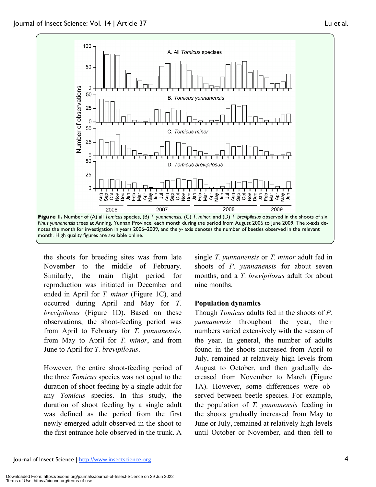

the shoots for breeding sites was from late November to the middle of February. Similarly, the main flight period for reproduction was initiated in December and ended in April for *T. minor* (Figure 1C), and occurred during April and May for *T. brevipilosus* (Figure 1D). Based on these observations, the shoot-feeding period was from April to February for *T. yunnanensis*, from May to April for *T. minor*, and from June to April for *T. brevipilosus*.

However, the entire shoot-feeding period of the three *Tomicus* species was not equal to the duration of shoot-feeding by a single adult for any *Tomicus* species. In this study, the duration of shoot feeding by a single adult was defined as the period from the first newly-emerged adult observed in the shoot to the first entrance hole observed in the trunk. A single *T. yunnanensis* or *T. minor* adult fed in shoots of *P. yunnanensis* for about seven months, and a *T. brevipilosus* adult for about nine months.

#### **Population dynamics**

Though *Tomicus* adults fed in the shoots of *P. yunnanensis* throughout the year, their numbers varied extensively with the season of the year. In general, the number of adults found in the shoots increased from April to July, remained at relatively high levels from August to October, and then gradually decreased from November to March (Figure 1A). However, some differences were observed between beetle species. For example, the population of *T. yunnanensis* feeding in the shoots gradually increased from May to June or July, remained at relatively high levels until October or November, and then fell to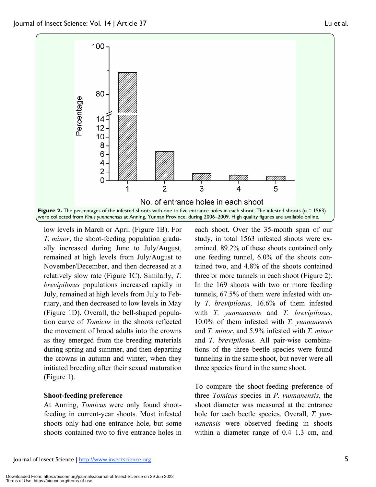

low levels in March or April (Figure 1B). For *T. minor*, the shoot-feeding population gradually increased during June to July/August, remained at high levels from July/August to November/December, and then decreased at a relatively slow rate (Figure 1C). Similarly, *T. brevipilosus* populations increased rapidly in July, remained at high levels from July to February, and then decreased to low levels in May (Figure 1D). Overall, the bell-shaped population curve of *Tomicus* in the shoots reflected the movement of brood adults into the crowns as they emerged from the breeding materials during spring and summer, and then departing the crowns in autumn and winter, when they initiated breeding after their sexual maturation (Figure 1).

#### **Shoot-feeding preference**

At Anning, *Tomicus* were only found shootfeeding in current-year shoots. Most infested shoots only had one entrance hole, but some shoots contained two to five entrance holes in

each shoot. Over the 35-month span of our study, in total 1563 infested shoots were examined. 89.2% of these shoots contained only one feeding tunnel, 6.0% of the shoots contained two, and 4.8% of the shoots contained three or more tunnels in each shoot (Figure 2). In the 169 shoots with two or more feeding tunnels, 67.5% of them were infested with only *T. brevipilosus,* 16.6% of them infested with *T. yunnanensis* and *T. brevipilosus,*  10.0% of them infested with *T. yunnanensis*  and *T. minor*, and 5.9% infested with *T. minor*  and *T. brevipilosus.* All pair-wise combinations of the three beetle species were found tunneling in the same shoot, but never were all three species found in the same shoot.

To compare the shoot-feeding preference of three *Tomicus* species in *P. yunnanensis,* the shoot diameter was measured at the entrance hole for each beetle species. Overall, *T. yunnanensis* were observed feeding in shoots within a diameter range of  $0.4-1.3$  cm, and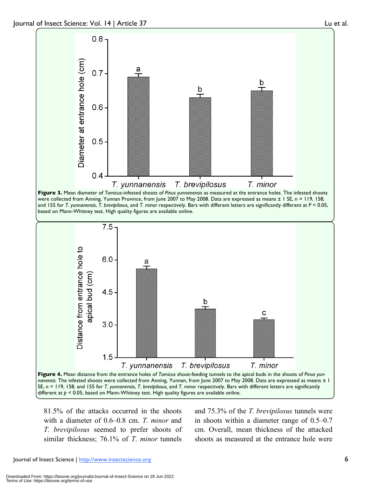

81.5% of the attacks occurred in the shoots with a diameter of 0.6–0.8 cm. *T. minor* and *T. brevipilosus* seemed to prefer shoots of similar thickness; 76.1% of *T. minor* tunnels and 75.3% of the *T. brevipilosus* tunnels were in shoots within a diameter range of 0.5–0.7 cm. Overall, mean thickness of the attacked shoots as measured at the entrance hole were

Journal of Insect Science | http://www.insectscience.org 6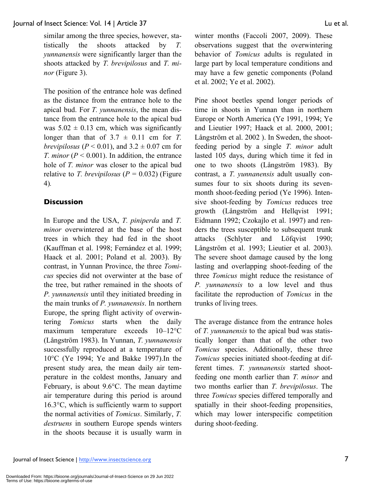similar among the three species, however, statistically the shoots attacked by *T. yunnanensis* were significantly larger than the shoots attacked by *T. brevipilosus* and *T. minor* (Figure 3).

The position of the entrance hole was defined as the distance from the entrance hole to the apical bud. For *T. yunnanensis*, the mean distance from the entrance hole to the apical bud was  $5.02 \pm 0.13$  cm, which was significantly longer than that of  $3.7 \pm 0.11$  cm for *T*. *brevipilosus* ( $P < 0.01$ ), and  $3.2 \pm 0.07$  cm for *T. minor* ( $P < 0.001$ ). In addition, the entrance hole of *T. minor* was closer to the apical bud relative to *T. brevipilosus*  $(P = 0.032)$  (Figure 4)*.*

# **Discussion**

In Europe and the USA, *T. piniperda* and *T. minor* overwintered at the base of the host trees in which they had fed in the shoot (Kauffman et al. 1998; Fernández et al. 1999; Haack et al. 2001; Poland et al. 2003). By contrast, in Yunnan Province, the three *Tomicus* species did not overwinter at the base of the tree, but rather remained in the shoots of *P. yunnanensis* until they initiated breeding in the main trunks of *P. yunnanensis*. In northern Europe, the spring flight activity of overwintering *Tomicus* starts when the daily maximum temperature exceeds 10–12°C (Långström 1983). In Yunnan, *T. yunnanensis*  successfully reproduced at a temperature of 10°C (Ye 1994; Ye and Bakke 1997).In the present study area, the mean daily air temperature in the coldest months, January and February, is about 9.6°C. The mean daytime air temperature during this period is around 16.3°C, which is sufficiently warm to support the normal activities of *Tomicus*. Similarly, *T. destruens* in southern Europe spends winters in the shoots because it is usually warm in

winter months (Faccoli 2007, 2009). These observations suggest that the overwintering behavior of *Tomicus* adults is regulated in large part by local temperature conditions and may have a few genetic components (Poland et al. 2002; Ye et al. 2002).

Pine shoot beetles spend longer periods of time in shoots in Yunnan than in northern Europe or North America (Ye 1991, 1994; Ye and Lieutier 1997; Haack et al. 2000, 2001; Långström et al. 2002 ). In Sweden, the shootfeeding period by a single *T. minor* adult lasted 105 days, during which time it fed in one to two shoots (Långström 1983). By contrast, a *T. yunnanensis* adult usually consumes four to six shoots during its sevenmonth shoot-feeding period (Ye 1996). Intensive shoot-feeding by *Tomicus* reduces tree growth (Långström and Hellqvist 1991; Eidmann 1992; Czokajlo et al. 1997) and renders the trees susceptible to subsequent trunk attacks (Schlyter and Löfqvist 1990; Långström et al. 1993; Lieutier et al. 2003). The severe shoot damage caused by the long lasting and overlapping shoot-feeding of the three *Tomicus* might reduce the resistance of *P. yunnanensis* to a low level and thus facilitate the reproduction of *Tomicus* in the trunks of living trees.

The average distance from the entrance holes of *T. yunnanensis* to the apical bud was statistically longer than that of the other two *Tomicus* species. Additionally, these three *Tomicus* species initiated shoot-feeding at different times. *T. yunnanensis* started shootfeeding one month earlier than *T. minor* and two months earlier than *T. brevipilosus*. The three *Tomicus* species differed temporally and spatially in their shoot-feeding propensities, which may lower interspecific competition during shoot-feeding.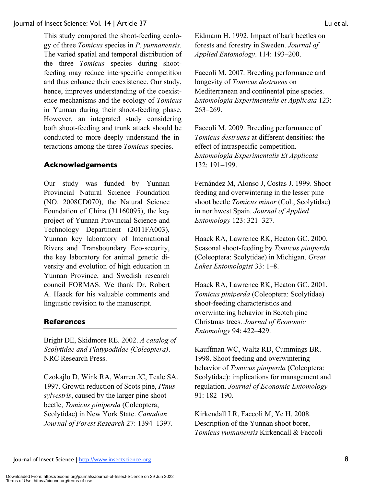This study compared the shoot-feeding ecology of three *Tomicus* species in *P. yunnanensis*. The varied spatial and temporal distribution of the three *Tomicus* species during shootfeeding may reduce interspecific competition and thus enhance their coexistence. Our study, hence, improves understanding of the coexistence mechanisms and the ecology of *Tomicus*  in Yunnan during their shoot-feeding phase. However, an integrated study considering both shoot-feeding and trunk attack should be conducted to more deeply understand the interactions among the three *Tomicus* species.

# **Acknowledgements**

Our study was funded by Yunnan Provincial Natural Science Foundation (NO. 2008CD070), the Natural Science Foundation of China (31160095), the key project of Yunnan Provincial Science and Technology Department (2011FA003), Yunnan key laboratory of International Rivers and Transboundary Eco-security, the key laboratory for animal genetic diversity and evolution of high education in Yunnan Province, and Swedish research council FORMAS. We thank Dr. Robert A. Haack for his valuable comments and linguistic revision to the manuscript.

# **References**

Bright DE, Skidmore RE. 2002. *A catalog of Scolytidae and Platypodidae (Coleoptera)*. NRC Research Press.

Czokajlo D, Wink RA, Warren JC, Teale SA. 1997. Growth reduction of Scots pine, *Pinus sylvestris*, caused by the larger pine shoot beetle, *Tomicus piniperda* (Coleoptera, Scolytidae) in New York State. *Canadian Journal of Forest Research* 27: 1394–1397.

Eidmann H. 1992. Impact of bark beetles on forests and forestry in Sweden. *Journal of Applied Entomology*. 114: 193–200.

Faccoli M. 2007. Breeding performance and longevity of *Tomicus destruens* on Mediterranean and continental pine species. *Entomologia Experimentalis et Applicata* 123: 263–269.

Faccoli M. 2009. Breeding performance of *Tomicus destruens* at different densities: the effect of intraspecific competition. *Entomologia Experimentalis Et Applicata* 132: 191–199.

Fernández M, Alonso J, Costas J. 1999. Shoot feeding and overwintering in the lesser pine shoot beetle *Tomicus minor* (Col., Scolytidae) in northwest Spain. *Journal of Applied Entomology* 123: 321–327.

Haack RA, Lawrence RK, Heaton GC. 2000. Seasonal shoot-feeding by *Tomicus piniperda* (Coleoptera: Scolytidae) in Michigan. *Great Lakes Entomologist* 33: 1–8.

Haack RA, Lawrence RK, Heaton GC. 2001. *Tomicus piniperda* (Coleoptera: Scolytidae) shoot-feeding characteristics and overwintering behavior in Scotch pine Christmas trees. *Journal of Economic Entomology* 94: 422–429.

Kauffman WC, Waltz RD, Cummings BR. 1998. Shoot feeding and overwintering behavior of *Tomicus piniperda* (Coleoptera: Scolytidae): implications for management and regulation. *Journal of Economic Entomology* 91: 182–190.

Kirkendall LR, Faccoli M, Ye H. 2008. Description of the Yunnan shoot borer, *Tomicus yunnanensis* Kirkendall & Faccoli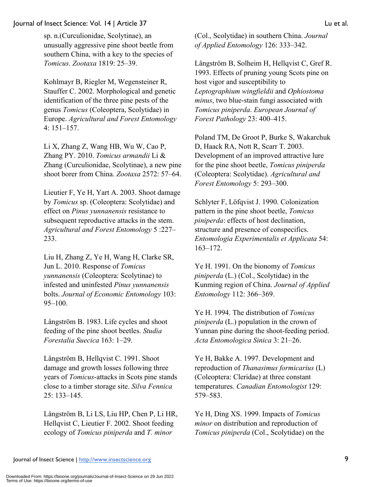sp. n.(Curculionidae, Scolytinae), an unusually aggressive pine shoot beetle from southern China, with a key to the species of *Tomicus*. *Zootaxa* 1819: 25–39.

Kohlmayr B, Riegler M, Wegensteiner R, Stauffer C. 2002. Morphological and genetic identification of the three pine pests of the genus *Tomicus* (Coleoptera, Scolytidae) in Europe. *Agricultural and Forest Entomology* 4: 151–157.

Li X, Zhang Z, Wang HB, Wu W, Cao P, Zhang PY. 2010. *Tomicus armandii* Li & Zhang (Curculionidae, Scolytinae), a new pine shoot borer from China. *Zootaxa* 2572: 57–64.

Lieutier F, Ye H, Yart A. 2003. Shoot damage by *Tomicus* sp. (Coleoptera: Scolytidae) and effect on *Pinus yunnanensis* resistance to subsequent reproductive attacks in the stem. *Agricultural and Forest Entomology* 5 :227– 233.

Liu H, Zhang Z, Ye H, Wang H, Clarke SR, Jun L. 2010. Response of *Tomicus yunnanensis* (Coleoptera: Scolytinae) to infested and uninfested *Pinus yunnanensis* bolts. *Journal of Economic Entomology* 103: 95–100.

Långström B. 1983. Life cycles and shoot feeding of the pine shoot beetles. *Studia Forestalia Suecica* 163: 1–29.

Långström B, Hellqvist C. 1991. Shoot damage and growth losses following three years of *Tomicus*-attacks in Scots pine stands close to a timber storage site. *Silva Fennica* 25: 133–145.

Långström B, Li LS, Liu HP, Chen P, Li HR, Hellqvist C, Lieutier F. 2002. Shoot feeding ecology of *Tomicus piniperda* and *T. minor* 

(Col., Scolytidae) in southern China. *Journal of Applied Entomology* 126: 333–342.

Långström B, Solheim H, Hellqvist C, Gref R. 1993. Effects of pruning young Scots pine on host vigor and susceptibility to *Leptographium wingfieldii* and *Ophiostoma minus*, two blue-stain fungi associated with *Tomicus piniperda*. *European Journal of Forest Pathology* 23: 400–415.

Poland TM, De Groot P, Burke S, Wakarchuk D, Haack RA, Nott R, Scarr T. 2003. Development of an improved attractive lure for the pine shoot beetle, *Tomicus piniperda* (Coleoptera: Scolytidae). *Agricultural and Forest Entomology* 5: 293–300.

Schlyter F, Löfqvist J. 1990. Colonization pattern in the pine shoot beetle, *Tomicus piniperda*: effects of host declination, structure and presence of conspecifics. *Entomologia Experimentalis et Applicata* 54: 163–172.

Ye H. 1991. On the bionomy of *Tomicus piniperda* (L.) (Col., Scolytidae) in the Kunming region of China. *Journal of Applied Entomology* 112: 366–369.

Ye H. 1994. The distribution of *Tomicus piniperda* (L.) population in the crown of Yunnan pine during the shoot-feeding period. *Acta Entomologica Sinica* 3: 21–26.

Ye H, Bakke A. 1997. Development and reproduction of *Thanasimus formicarius* (L) (Coleoptera: Cleridae) at three constant temperatures. *Canadian Entomologist* 129: 579–583.

Ye H, Ding XS. 1999. Impacts of *Tomicus minor* on distribution and reproduction of *Tomicus piniperda* (Col., Scolytidae) on the